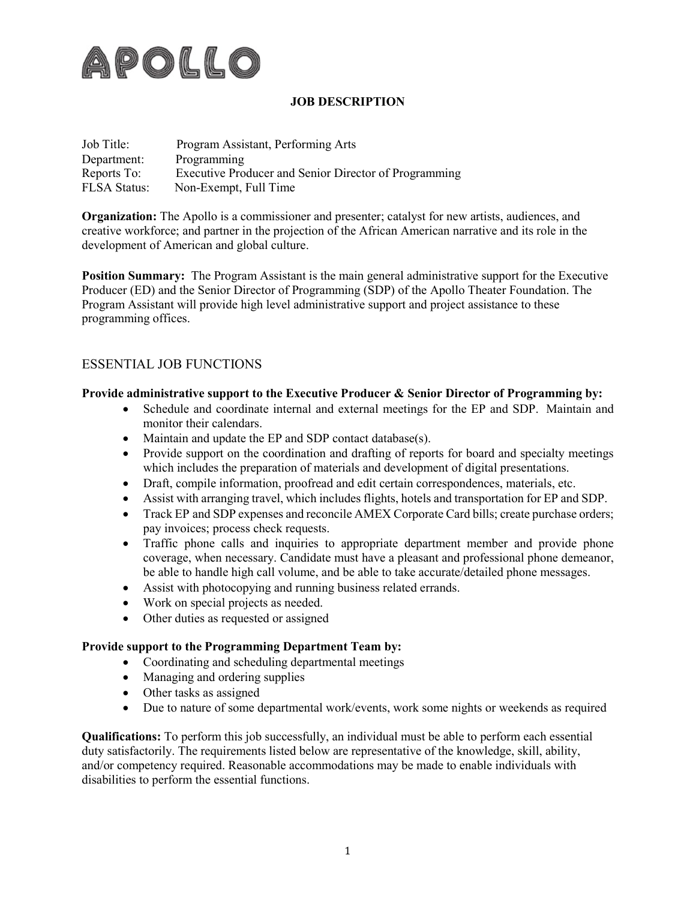

## **JOB DESCRIPTION**

| Job Title:          | Program Assistant, Performing Arts                    |
|---------------------|-------------------------------------------------------|
| Department:         | Programming                                           |
| Reports To:         | Executive Producer and Senior Director of Programming |
| <b>FLSA Status:</b> | Non-Exempt, Full Time                                 |

**Organization:** The Apollo is a commissioner and presenter; catalyst for new artists, audiences, and creative workforce; and partner in the projection of the African American narrative and its role in the development of American and global culture.

**Position Summary:** The Program Assistant is the main general administrative support for the Executive Producer (ED) and the Senior Director of Programming (SDP) of the Apollo Theater Foundation. The Program Assistant will provide high level administrative support and project assistance to these programming offices.

# ESSENTIAL JOB FUNCTIONS

### **Provide administrative support to the Executive Producer & Senior Director of Programming by:**

- Schedule and coordinate internal and external meetings for the EP and SDP. Maintain and monitor their calendars.
- Maintain and update the EP and SDP contact database(s).
- Provide support on the coordination and drafting of reports for board and specialty meetings which includes the preparation of materials and development of digital presentations.
- Draft, compile information, proofread and edit certain correspondences, materials, etc.
- Assist with arranging travel, which includes flights, hotels and transportation for EP and SDP.
- Track EP and SDP expenses and reconcile AMEX Corporate Card bills; create purchase orders; pay invoices; process check requests.
- Traffic phone calls and inquiries to appropriate department member and provide phone coverage, when necessary. Candidate must have a pleasant and professional phone demeanor, be able to handle high call volume, and be able to take accurate/detailed phone messages.
- Assist with photocopying and running business related errands.
- Work on special projects as needed.
- Other duties as requested or assigned

#### **Provide support to the Programming Department Team by:**

- Coordinating and scheduling departmental meetings
- Managing and ordering supplies
- Other tasks as assigned
- Due to nature of some departmental work/events, work some nights or weekends as required

**Qualifications:** To perform this job successfully, an individual must be able to perform each essential duty satisfactorily. The requirements listed below are representative of the knowledge, skill, ability, and/or competency required. Reasonable accommodations may be made to enable individuals with disabilities to perform the essential functions.